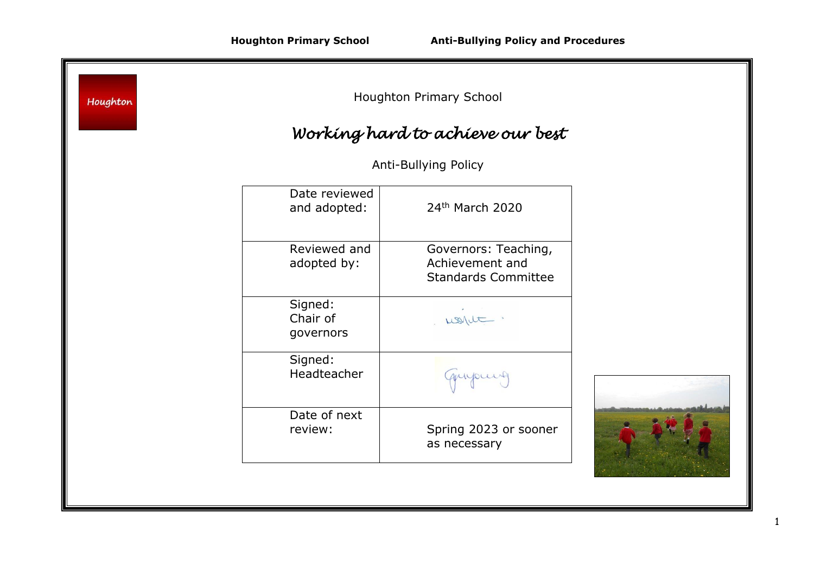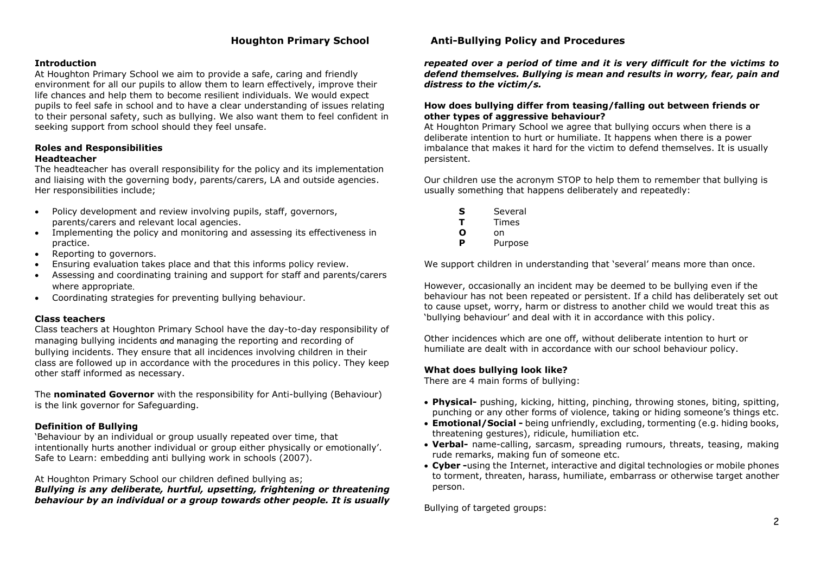## **Introduction**

At Houghton Primary School we aim to provide a safe, caring and friendly environment for all our pupils to allow them to learn effectively, improve their life chances and help them to become resilient individuals. We would expect pupils to feel safe in school and to have a clear understanding of issues relating to their personal safety, such as bullying. We also want them to feel confident in seeking support from school should they feel unsafe.

#### **Roles and Responsibilities Headteacher**

The headteacher has overall responsibility for the policy and its implementation and liaising with the governing body, parents/carers, LA and outside agencies. Her responsibilities include;

- Policy development and review involving pupils, staff, governors, parents/carers and relevant local agencies.
- Implementing the policy and monitoring and assessing its effectiveness in practice.
- Reporting to governors.
- Ensuring evaluation takes place and that this informs policy review.
- Assessing and coordinating training and support for staff and parents/carers where appropriate.
- Coordinating strategies for preventing bullying behaviour.

#### **Class teachers**

Class teachers at Houghton Primary School have the day-to-day responsibility of managing bullying incidents and managing the reporting and recording of bullying incidents. They ensure that all incidences involving children in their class are followed up in accordance with the procedures in this policy. They keep other staff informed as necessary.

The **nominated Governor** with the responsibility for Anti-bullying (Behaviour) is the link governor for Safeguarding.

## **Definition of Bullying**

'Behaviour by an individual or group usually repeated over time, that intentionally hurts another individual or group either physically or emotionally'. Safe to Learn: embedding anti bullying work in schools (2007).

At Houghton Primary School our children defined bullying as;

*Bullying is any deliberate, hurtful, upsetting, frightening or threatening behaviour by an individual or a group towards other people. It is usually* 

## **Houghton Primary School Anti-Bullying Policy and Procedures**

*repeated over a period of time and it is very difficult for the victims to defend themselves. Bullying is mean and results in worry, fear, pain and distress to the victim/s.*

## **How does bullying differ from teasing/falling out between friends or other types of aggressive behaviour?**

At Houghton Primary School we agree that bullying occurs when there is a deliberate intention to hurt or humiliate. It happens when there is a power imbalance that makes it hard for the victim to defend themselves. It is usually persistent.

Our children use the acronym STOP to help them to remember that bullying is usually something that happens deliberately and repeatedly:

- **S** Several
- **T** Times
- **O** on
- **P** Purpose

We support children in understanding that 'several' means more than once.

However, occasionally an incident may be deemed to be bullying even if the behaviour has not been repeated or persistent. If a child has deliberately set out to cause upset, worry, harm or distress to another child we would treat this as 'bullying behaviour' and deal with it in accordance with this policy.

Other incidences which are one off, without deliberate intention to hurt or humiliate are dealt with in accordance with our school behaviour policy.

## **What does bullying look like?**

There are 4 main forms of bullying:

- **Physical-** pushing, kicking, hitting, pinching, throwing stones, biting, spitting, punching or any other forms of violence, taking or hiding someone's things etc.
- **Emotional/Social -** being unfriendly, excluding, tormenting (e.g. hiding books, threatening gestures), ridicule, humiliation etc.
- **Verbal-** name-calling, sarcasm, spreading rumours, threats, teasing, making rude remarks, making fun of someone etc.
- **Cyber -**using the Internet, interactive and digital technologies or mobile phones to torment, threaten, harass, humiliate, embarrass or otherwise target another person.

Bullying of targeted groups: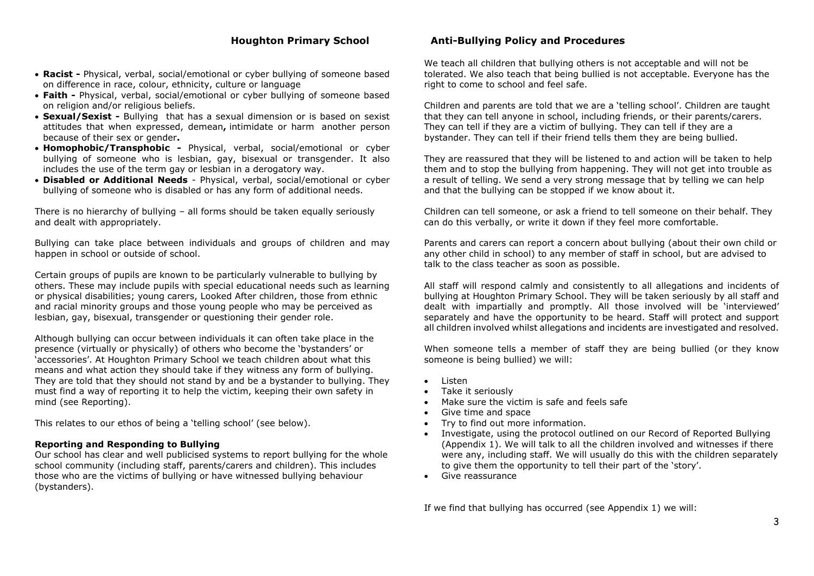- **Racist -** Physical, verbal, social/emotional or cyber bullying of someone based on difference in race, colour, ethnicity, culture or language
- **Faith -** Physical, verbal, social/emotional or cyber bullying of someone based on religion and/or religious beliefs.
- **Sexual/Sexist -** Bullying that has a sexual dimension or is based on sexist attitudes that when expressed, demean**,** intimidate or harm another person because of their sex or gender**.**
- **Homophobic/Transphobic -** Physical, verbal, social/emotional or cyber bullying of someone who is lesbian, gay, bisexual or transgender. It also includes the use of the term gay or lesbian in a derogatory way.
- **Disabled or Additional Needs** Physical, verbal, social/emotional or cyber bullying of someone who is disabled or has any form of additional needs.

There is no hierarchy of bullying – all forms should be taken equally seriously and dealt with appropriately.

Bullying can take place between individuals and groups of children and may happen in school or outside of school.

Certain groups of pupils are known to be particularly vulnerable to bullying by others. These may include pupils with special educational needs such as learning or physical disabilities; young carers, Looked After children, those from ethnic and racial minority groups and those young people who may be perceived as lesbian, gay, bisexual, transgender or questioning their gender role.

Although bullying can occur between individuals it can often take place in the presence (virtually or physically) of others who become the 'bystanders' or 'accessories'. At Houghton Primary School we teach children about what this means and what action they should take if they witness any form of bullying. They are told that they should not stand by and be a bystander to bullying. They must find a way of reporting it to help the victim, keeping their own safety in mind (see Reporting).

This relates to our ethos of being a 'telling school' (see below).

## **Reporting and Responding to Bullying**

Our school has clear and well publicised systems to report bullying for the whole school community (including staff, parents/carers and children). This includes those who are the victims of bullying or have witnessed bullying behaviour (bystanders).

## **Houghton Primary School Anti-Bullying Policy and Procedures**

We teach all children that bullying others is not acceptable and will not be tolerated. We also teach that being bullied is not acceptable. Everyone has the right to come to school and feel safe.

Children and parents are told that we are a 'telling school'. Children are taught that they can tell anyone in school, including friends, or their parents/carers. They can tell if they are a victim of bullying. They can tell if they are a bystander. They can tell if their friend tells them they are being bullied.

They are reassured that they will be listened to and action will be taken to help them and to stop the bullying from happening. They will not get into trouble as a result of telling. We send a very strong message that by telling we can help and that the bullying can be stopped if we know about it.

Children can tell someone, or ask a friend to tell someone on their behalf. They can do this verbally, or write it down if they feel more comfortable.

Parents and carers can report a concern about bullying (about their own child or any other child in school) to any member of staff in school, but are advised to talk to the class teacher as soon as possible.

All staff will respond calmly and consistently to all allegations and incidents of bullying at Houghton Primary School. They will be taken seriously by all staff and dealt with impartially and promptly. All those involved will be 'interviewed' separately and have the opportunity to be heard. Staff will protect and support all children involved whilst allegations and incidents are investigated and resolved.

When someone tells a member of staff they are being bullied (or they know someone is being bullied) we will:

- Listen
- Take it seriously
- Make sure the victim is safe and feels safe
- Give time and space
- Try to find out more information.
- Investigate, using the protocol outlined on our Record of Reported Bullying (Appendix 1). We will talk to all the children involved and witnesses if there were any, including staff. We will usually do this with the children separately to give them the opportunity to tell their part of the 'story'.
- Give reassurance

If we find that bullying has occurred (see Appendix 1) we will: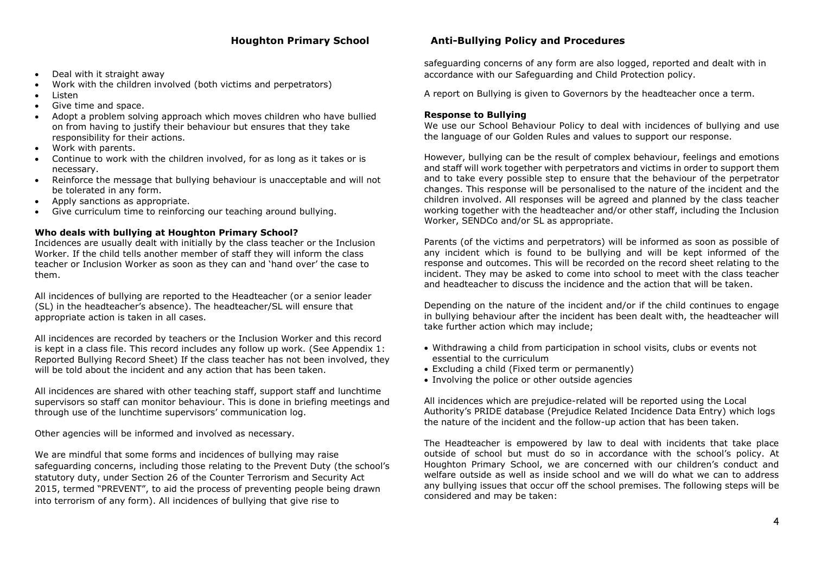- Deal with it straight away
- Work with the children involved (both victims and perpetrators)
- Listen
- Give time and space.
- Adopt a problem solving approach which moves children who have bullied on from having to justify their behaviour but ensures that they take responsibility for their actions.
- Work with parents.
- Continue to work with the children involved, for as long as it takes or is necessary.
- Reinforce the message that bullying behaviour is unacceptable and will not be tolerated in any form.
- Apply sanctions as appropriate.
- Give curriculum time to reinforcing our teaching around bullying.

# **Who deals with bullying at Houghton Primary School?**

Incidences are usually dealt with initially by the class teacher or the Inclusion Worker. If the child tells another member of staff they will inform the class teacher or Inclusion Worker as soon as they can and 'hand over' the case to them.

All incidences of bullying are reported to the Headteacher (or a senior leader (SL) in the headteacher's absence). The headteacher/SL will ensure that appropriate action is taken in all cases.

All incidences are recorded by teachers or the Inclusion Worker and this record is kept in a class file. This record includes any follow up work. (See Appendix 1: Reported Bullying Record Sheet) If the class teacher has not been involved, they will be told about the incident and any action that has been taken.

All incidences are shared with other teaching staff, support staff and lunchtime supervisors so staff can monitor behaviour. This is done in briefing meetings and through use of the lunchtime supervisors' communication log.

Other agencies will be informed and involved as necessary.

We are mindful that some forms and incidences of bullying may raise safeguarding concerns, including those relating to the Prevent Duty (the school's statutory duty, under Section 26 of the Counter Terrorism and Security Act 2015, termed "PREVENT", to aid the process of preventing people being drawn into terrorism of any form). All incidences of bullying that give rise to

# **Houghton Primary School Anti-Bullying Policy and Procedures**

safeguarding concerns of any form are also logged, reported and dealt with in accordance with our Safeguarding and Child Protection policy.

A report on Bullying is given to Governors by the headteacher once a term.

## **Response to Bullying**

We use our School Behaviour Policy to deal with incidences of bullying and use the language of our Golden Rules and values to support our response.

However, bullying can be the result of complex behaviour, feelings and emotions and staff will work together with perpetrators and victims in order to support them and to take every possible step to ensure that the behaviour of the perpetrator changes. This response will be personalised to the nature of the incident and the children involved. All responses will be agreed and planned by the class teacher working together with the headteacher and/or other staff, including the Inclusion Worker, SENDCo and/or SL as appropriate.

Parents (of the victims and perpetrators) will be informed as soon as possible of any incident which is found to be bullying and will be kept informed of the response and outcomes. This will be recorded on the record sheet relating to the incident. They may be asked to come into school to meet with the class teacher and headteacher to discuss the incidence and the action that will be taken.

Depending on the nature of the incident and/or if the child continues to engage in bullying behaviour after the incident has been dealt with, the headteacher will take further action which may include;

- Withdrawing a child from participation in school visits, clubs or events not essential to the curriculum
- Excluding a child (Fixed term or permanently)
- Involving the police or other outside agencies

All incidences which are prejudice-related will be reported using the Local Authority's PRIDE database (Prejudice Related Incidence Data Entry) which logs the nature of the incident and the follow-up action that has been taken.

The Headteacher is empowered by law to deal with incidents that take place outside of school but must do so in accordance with the school's policy. At Houghton Primary School, we are concerned with our children's conduct and welfare outside as well as inside school and we will do what we can to address any bullying issues that occur off the school premises. The following steps will be considered and may be taken: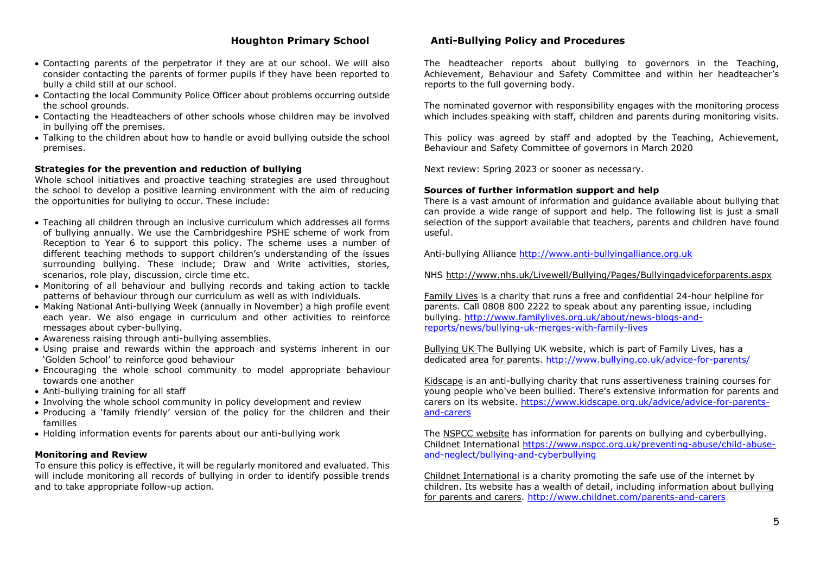- Contacting parents of the perpetrator if they are at our school. We will also consider contacting the parents of former pupils if they have been reported to bully a child still at our school.
- Contacting the local Community Police Officer about problems occurring outside the school grounds.
- Contacting the Headteachers of other schools whose children may be involved in bullying off the premises.
- Talking to the children about how to handle or avoid bullying outside the school premises.

### **Strategies for the prevention and reduction of bullying**

Whole school initiatives and proactive teaching strategies are used throughout the school to develop a positive learning environment with the aim of reducing the opportunities for bullying to occur. These include:

- Teaching all children through an inclusive curriculum which addresses all forms of bullying annually. We use the Cambridgeshire PSHE scheme of work from Reception to Year 6 to support this policy. The scheme uses a number of different teaching methods to support children's understanding of the issues surrounding bullying. These include; Draw and Write activities, stories, scenarios, role play, discussion, circle time etc.
- Monitoring of all behaviour and bullying records and taking action to tackle patterns of behaviour through our curriculum as well as with individuals.
- Making National Anti-bullying Week (annually in November) a high profile event each year. We also engage in curriculum and other activities to reinforce messages about cyber-bullying.
- Awareness raising through anti-bullying assemblies.
- Using praise and rewards within the approach and systems inherent in our 'Golden School' to reinforce good behaviour
- Encouraging the whole school community to model appropriate behaviour towards one another
- Anti-bullying training for all staff
- Involving the whole school community in policy development and review
- Producing a 'family friendly' version of the policy for the children and their families
- Holding information events for parents about our anti-bullying work

#### **Monitoring and Review**

To ensure this policy is effective, it will be regularly monitored and evaluated. This will include monitoring all records of bullying in order to identify possible trends and to take appropriate follow-up action.

## **Houghton Primary School Anti-Bullying Policy and Procedures**

The headteacher reports about bullying to governors in the Teaching, Achievement, Behaviour and Safety Committee and within her headteacher's reports to the full governing body.

The nominated governor with responsibility engages with the monitoring process which includes speaking with staff, children and parents during monitoring visits.

This policy was agreed by staff and adopted by the Teaching, Achievement, Behaviour and Safety Committee of governors in March 2020

Next review: Spring 2023 or sooner as necessary.

## **Sources of further information support and help**

There is a vast amount of information and guidance available about bullying that can provide a wide range of support and help. The following list is just a small selection of the support available that teachers, parents and children have found useful.

Anti-bullying Alliance [http://www.anti-bullyingalliance.org.uk](http://www.anti-bullyingalliance.org.uk/)

NHS<http://www.nhs.uk/Livewell/Bullying/Pages/Bullyingadviceforparents.aspx>

[Family Lives](http://www.familylives.org.uk/how-we-can-help/confidential-helpline/?_ga=1.83967002.2091523495.1430495518) is a charity that runs a free and confidential 24-hour helpline for parents. Call 0808 800 2222 to speak about any parenting issue, including bullying. [http://www.familylives.org.uk/about/news-blogs-and](http://www.familylives.org.uk/about/news-blogs-and-reports/news/bullying-uk-merges-with-family-lives)[reports/news/bullying-uk-merges-with-family-lives](http://www.familylives.org.uk/about/news-blogs-and-reports/news/bullying-uk-merges-with-family-lives)

Bullying UK The Bullying UK website, which is part of Family Lives, has a dedicated [area for parents.](http://www.bullying.co.uk/advice/parents-advice/general-parent-tips) <http://www.bullying.co.uk/advice-for-parents/>

[Kidscape](https://www.kidscape.org.uk/advice/advice-for-parents-and-carers/) is an anti-bullying charity that runs assertiveness training courses for young people who've been bullied. There's extensive information for parents and carers on its website. [https://www.kidscape.org.uk/advice/advice-for-parents](https://www.kidscape.org.uk/advice/advice-for-parents-and-carers)[and-carers](https://www.kidscape.org.uk/advice/advice-for-parents-and-carers)

The [NSPCC website](http://www.nspcc.org.uk/preventing-abuse/child-abuse-and-neglect/bullying-and-cyberbullying/) has information for parents on bullying and cyberbullying. Childnet International [https://www.nspcc.org.uk/preventing-abuse/child-abuse](https://www.nspcc.org.uk/preventing-abuse/child-abuse-and-neglect/bullying-and-cyberbullying)[and-neglect/bullying-and-cyberbullying](https://www.nspcc.org.uk/preventing-abuse/child-abuse-and-neglect/bullying-and-cyberbullying)

[Childnet International](http://www.childnet-int.org/) is a charity promoting the safe use of the internet by children. Its website has a wealth of detail, including [information about bullying](http://www.childnet.com/parents-and-carers)  [for parents and carers.](http://www.childnet.com/parents-and-carers) <http://www.childnet.com/parents-and-carers>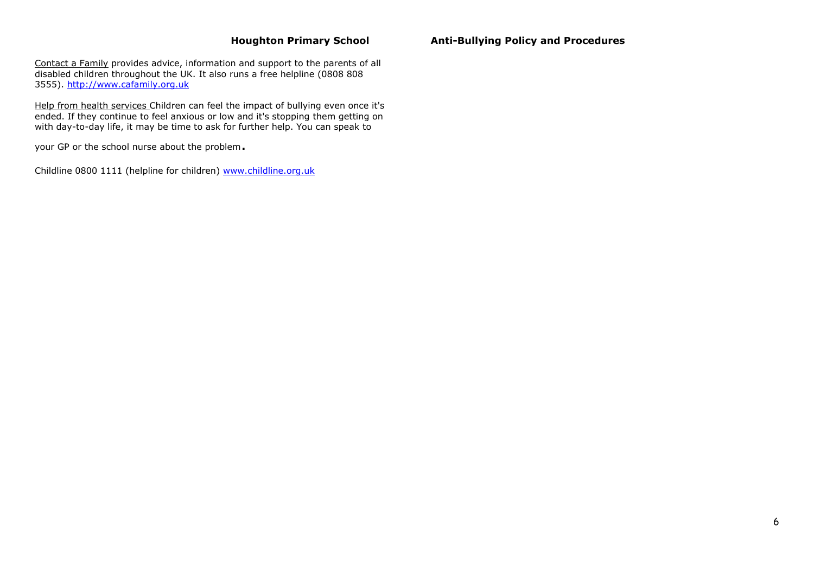[Contact a Family](http://www.cafamily.org.uk/) provides advice, information and support to the parents of all disabled children throughout the UK. It also runs a free helpline (0808 808) 3555). [http://www.cafamily.org.uk](http://www.cafamily.org.uk/)

Help from health services Children can feel the impact of bullying even once it's ended. If they continue to feel anxious or low and it's stopping them getting on with day-to-day life, it may be time to ask for further help. You can speak to

your GP or the school nurse about the problem.

Childline 0800 1111 (helpline for children) [www.childline.org.uk](http://www.childline.org.uk/)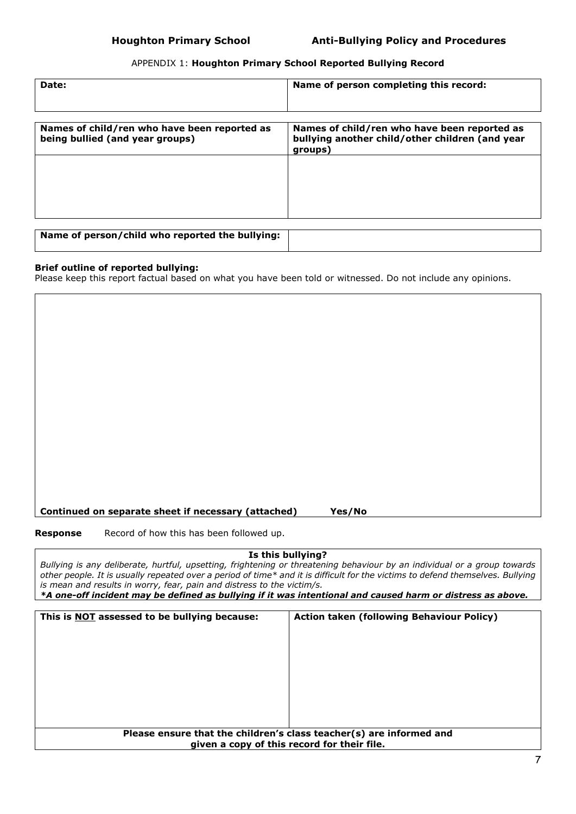# APPENDIX 1: **Houghton Primary School Reported Bullying Record**

| Date:                                                                           | Name of person completing this record:                                                                     |
|---------------------------------------------------------------------------------|------------------------------------------------------------------------------------------------------------|
|                                                                                 |                                                                                                            |
| Names of child/ren who have been reported as<br>being bullied (and year groups) | Names of child/ren who have been reported as<br>bullying another child/other children (and year<br>groups) |
|                                                                                 |                                                                                                            |
|                                                                                 |                                                                                                            |
| Name of person/child who reported the bullying:                                 |                                                                                                            |

**Brief outline of reported bullying:** Please keep this report factual based on what you have been told or witnessed. Do not include any opinions.

## **Continued on separate sheet if necessary (attached) Yes/No**

**Response** Record of how this has been followed up.

**Is this bullying?** *Bullying is any deliberate, hurtful, upsetting, frightening or threatening behaviour by an individual or a group towards other people. It is usually repeated over a period of time\* and it is difficult for the victims to defend themselves. Bullying is mean and results in worry, fear, pain and distress to the victim/s. \*A one-off incident may be defined as bullying if it was intentional and caused harm or distress as above.*

| This is <b>NOT</b> assessed to be bullying because: | <b>Action taken (following Behaviour Policy)</b>                    |
|-----------------------------------------------------|---------------------------------------------------------------------|
|                                                     |                                                                     |
|                                                     |                                                                     |
|                                                     |                                                                     |
|                                                     |                                                                     |
|                                                     |                                                                     |
|                                                     |                                                                     |
|                                                     |                                                                     |
|                                                     |                                                                     |
|                                                     |                                                                     |
|                                                     | Please ensure that the children's class teacher(s) are informed and |
|                                                     | given a copy of this record for their file.                         |